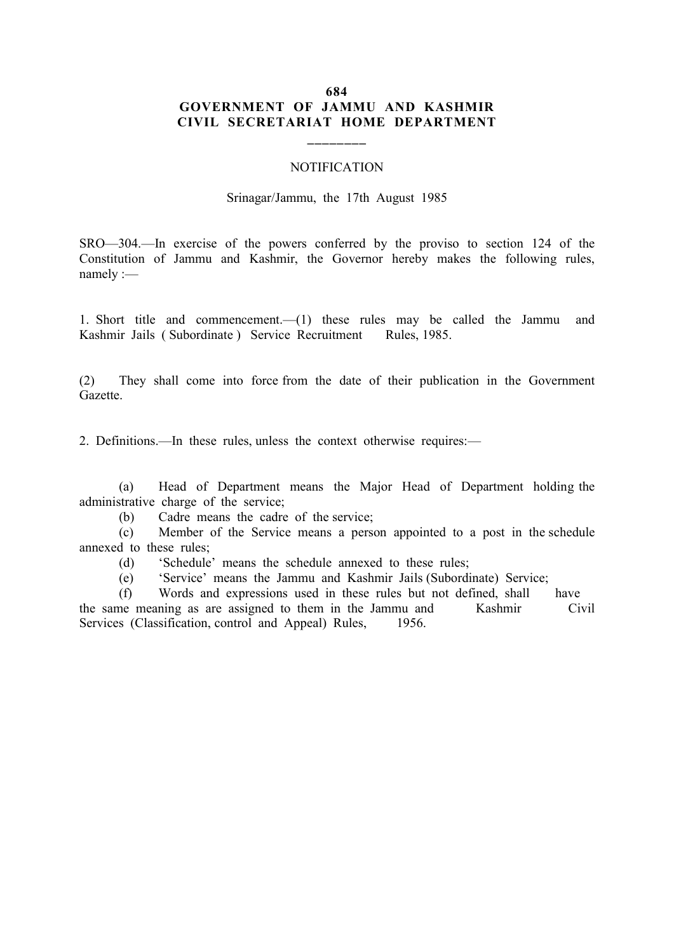## 684 GOVERNMENT OF JAMMU AND KASHMIR CIVIL SECRETARIAT HOME DEPARTMENT

\_\_\_\_\_\_\_\_

## **NOTIFICATION**

## Srinagar/Jammu, the 17th August 1985

SRO—304.—In exercise of the powers conferred by the proviso to section 124 of the Constitution of Jammu and Kashmir, the Governor hereby makes the following rules, namely :—

1. Short title and commencement.—(1) these rules may be called the Jammu and Kashmir Jails ( Subordinate ) Service Recruitment Rules, 1985.

(2) They shall come into force from the date of their publication in the Government Gazette.

2. Definitions.—In these rules, unless the context otherwise requires:—

(a) Head of Department means the Major Head of Department holding the administrative charge of the service;

(b) Cadre means the cadre of the service;

(c) Member of the Service means a person appointed to a post in the schedule annexed to these rules;

(d) 'Schedule' means the schedule annexed to these rules;

(e) 'Service' means the Jammu and Kashmir Jails (Subordinate) Service;

(f) Words and expressions used in these rules but not defined, shall have the same meaning as are assigned to them in the Jammu and Kashmir Civil Services (Classification, control and Appeal) Rules, 1956.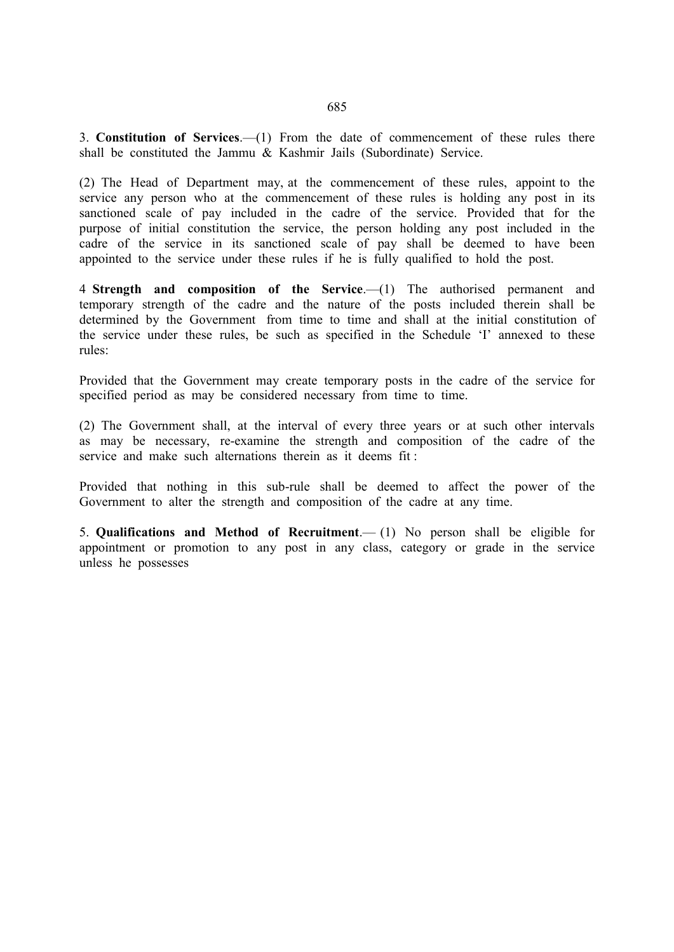3. Constitution of Services.—(1) From the date of commencement of these rules there shall be constituted the Jammu & Kashmir Jails (Subordinate) Service.

(2) The Head of Department may, at the commencement of these rules, appoint to the service any person who at the commencement of these rules is holding any post in its sanctioned scale of pay included in the cadre of the service. Provided that for the purpose of initial constitution the service, the person holding any post included in the cadre of the service in its sanctioned scale of pay shall be deemed to have been appointed to the service under these rules if he is fully qualified to hold the post.

4 Strength and composition of the Service.—(1) The authorised permanent and temporary strength of the cadre and the nature of the posts included therein shall be determined by the Government from time to time and shall at the initial constitution of the service under these rules, be such as specified in the Schedule 'I' annexed to these rules:

Provided that the Government may create temporary posts in the cadre of the service for specified period as may be considered necessary from time to time.

(2) The Government shall, at the interval of every three years or at such other intervals as may be necessary, re-examine the strength and composition of the cadre of the service and make such alternations therein as it deems fit :

Provided that nothing in this sub-rule shall be deemed to affect the power of the Government to alter the strength and composition of the cadre at any time.

5. Qualifications and Method of Recruitment.— (1) No person shall be eligible for appointment or promotion to any post in any class, category or grade in the service unless he possesses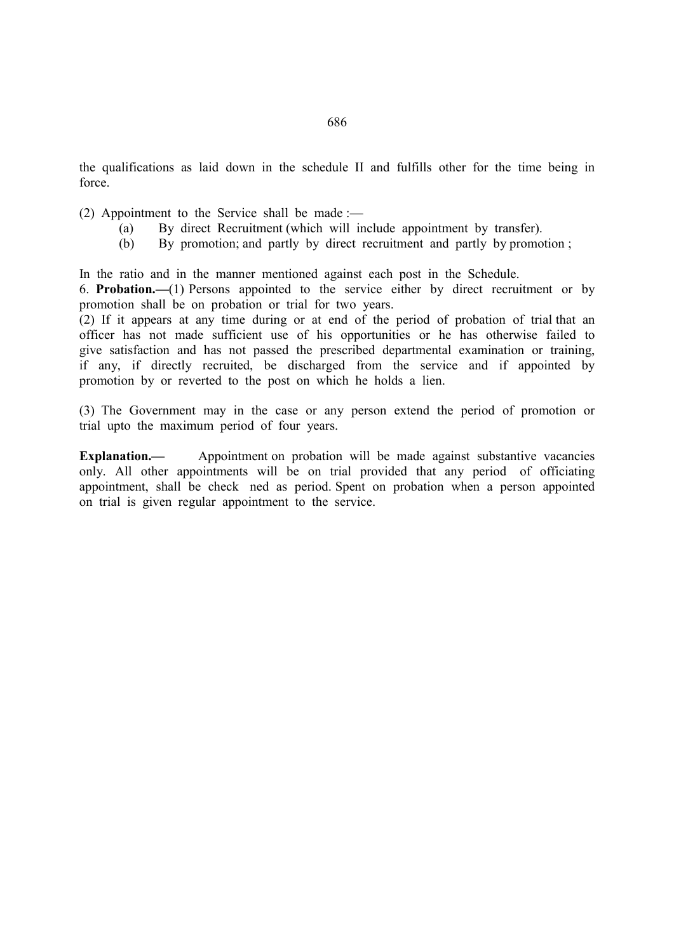the qualifications as laid down in the schedule II and fulfills other for the time being in force.

(2) Appointment to the Service shall be made :—

- (a) By direct Recruitment (which will include appointment by transfer).<br>
(b) By promotion: and partly by direct recruitment and partly by promotion
- By promotion; and partly by direct recruitment and partly by promotion ;

In the ratio and in the manner mentioned against each post in the Schedule.

6. Probation.—(1) Persons appointed to the service either by direct recruitment or by promotion shall be on probation or trial for two years.

(2) If it appears at any time during or at end of the period of probation of trial that an officer has not made sufficient use of his opportunities or he has otherwise failed to give satisfaction and has not passed the prescribed departmental examination or training, if any, if directly recruited, be discharged from the service and if appointed by promotion by or reverted to the post on which he holds a lien.

(3) The Government may in the case or any person extend the period of promotion or trial upto the maximum period of four years.

Explanation.— Appointment on probation will be made against substantive vacancies only. All other appointments will be on trial provided that any period of officiating appointment, shall be check ned as period. Spent on probation when a person appointed on trial is given regular appointment to the service.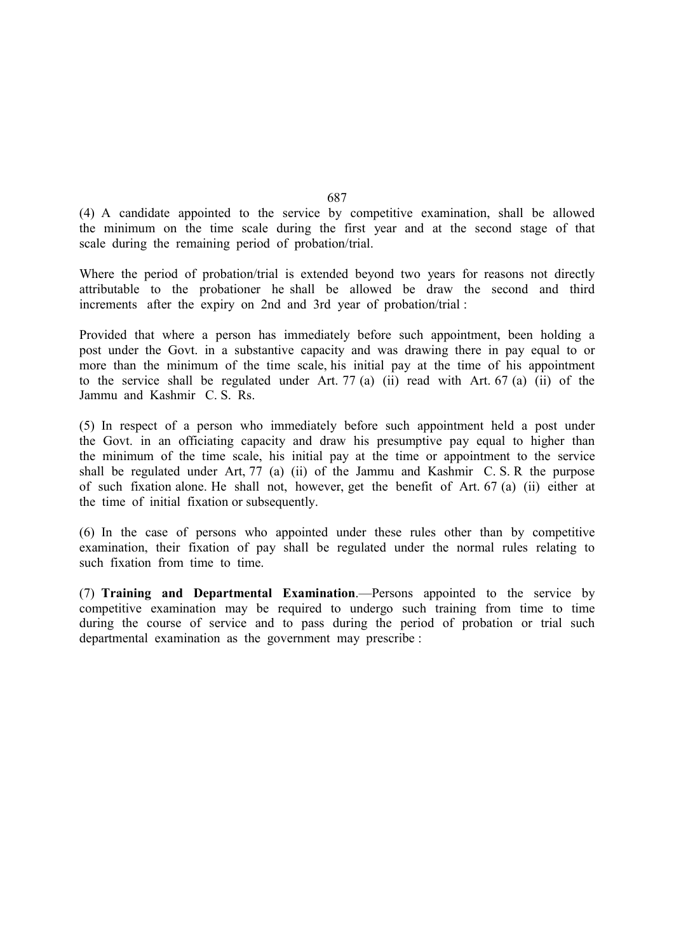(4) A candidate appointed to the service by competitive examination, shall be allowed the minimum on the time scale during the first year and at the second stage of that scale during the remaining period of probation/trial.

Where the period of probation/trial is extended beyond two years for reasons not directly attributable to the probationer he shall be allowed be draw the second and third increments after the expiry on 2nd and 3rd year of probation/trial :

Provided that where a person has immediately before such appointment, been holding a post under the Govt. in a substantive capacity and was drawing there in pay equal to or more than the minimum of the time scale, his initial pay at the time of his appointment to the service shall be regulated under Art. 77 (a) (ii) read with Art. 67 (a) (ii) of the Jammu and Kashmir C. S. Rs.

(5) In respect of a person who immediately before such appointment held a post under the Govt. in an officiating capacity and draw his presumptive pay equal to higher than the minimum of the time scale, his initial pay at the time or appointment to the service shall be regulated under Art, 77 (a) (ii) of the Jammu and Kashmir C. S. R the purpose of such fixation alone. He shall not, however, get the benefit of Art. 67 (a) (ii) either at the time of initial fixation or subsequently.

(6) In the case of persons who appointed under these rules other than by competitive examination, their fixation of pay shall be regulated under the normal rules relating to such fixation from time to time.

(7) Training and Departmental Examination.—Persons appointed to the service by competitive examination may be required to undergo such training from time to time during the course of service and to pass during the period of probation or trial such departmental examination as the government may prescribe :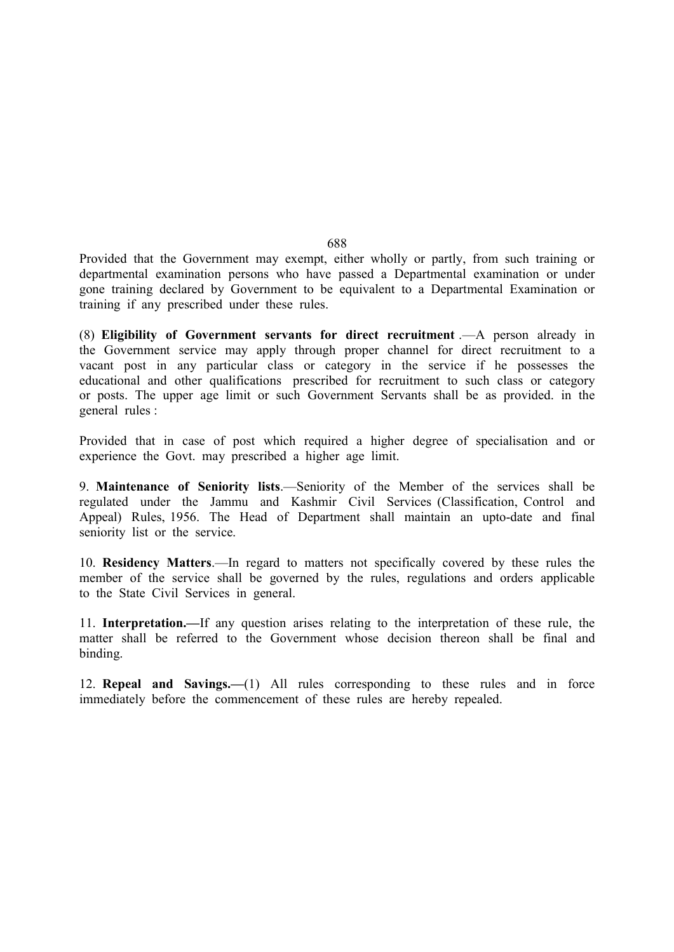Provided that the Government may exempt, either wholly or partly, from such training or departmental examination persons who have passed a Departmental examination or under gone training declared by Government to be equivalent to a Departmental Examination or training if any prescribed under these rules.

(8) Eligibility of Government servants for direct recruitment .—A person already in the Government service may apply through proper channel for direct recruitment to a vacant post in any particular class or category in the service if he possesses the educational and other qualifications prescribed for recruitment to such class or category or posts. The upper age limit or such Government Servants shall be as provided. in the general rules :

Provided that in case of post which required a higher degree of specialisation and or experience the Govt. may prescribed a higher age limit.

9. Maintenance of Seniority lists.—Seniority of the Member of the services shall be regulated under the Jammu and Kashmir Civil Services (Classification, Control and Appeal) Rules, 1956. The Head of Department shall maintain an upto-date and final seniority list or the service.

10. Residency Matters.—In regard to matters not specifically covered by these rules the member of the service shall be governed by the rules, regulations and orders applicable to the State Civil Services in general.

11. Interpretation.—If any question arises relating to the interpretation of these rule, the matter shall be referred to the Government whose decision thereon shall be final and binding.

12. Repeal and Savings.—(1) All rules corresponding to these rules and in force immediately before the commencement of these rules are hereby repealed.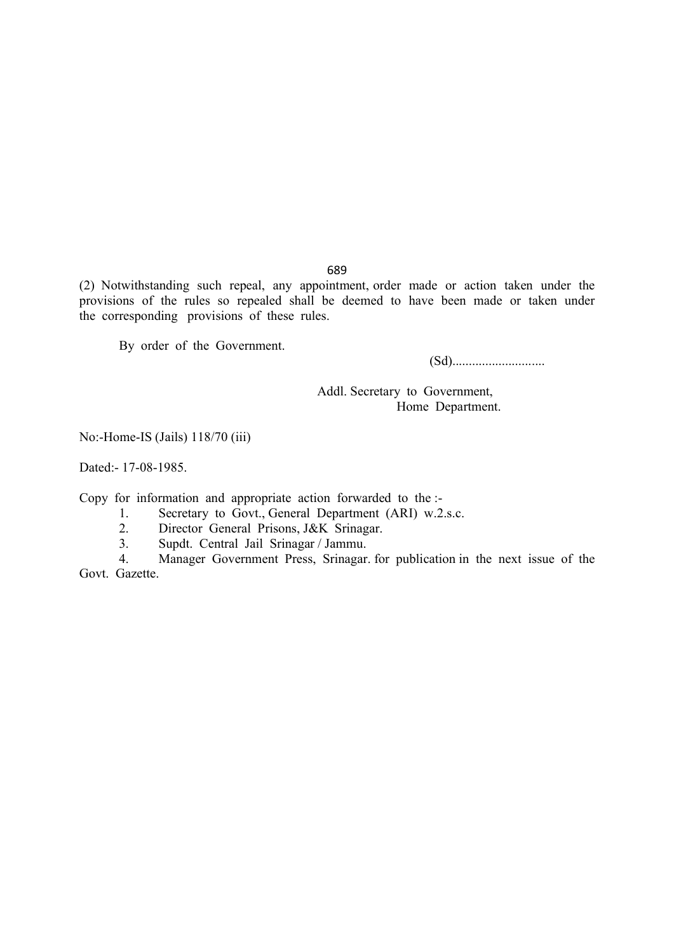(2) Notwithstanding such repeal, any appointment, order made or action taken under the provisions of the rules so repealed shall be deemed to have been made or taken under the corresponding provisions of these rules.

By order of the Government.

(Sd)............................

Addl. Secretary to Government, Home Department.

No:-Home-IS (Jails) 118/70 (iii)

Dated:- 17-08-1985.

Copy for information and appropriate action forwarded to the :-<br>1. Secretary to Govt. General Department (ARI) w.2

- 1. Secretary to Govt., General Department (ARI) w.2.s.c.<br>2. Director General Prisons J&K Srinagar.
- 2. Director General Prisons, J&K Srinagar.<br>3. Sundt. Central Jail Srinagar / Jammu.
- 3. Supdt. Central Jail Srinagar / Jammu.

4. Manager Government Press, Srinagar. for publication in the next issue of the Govt. Gazette.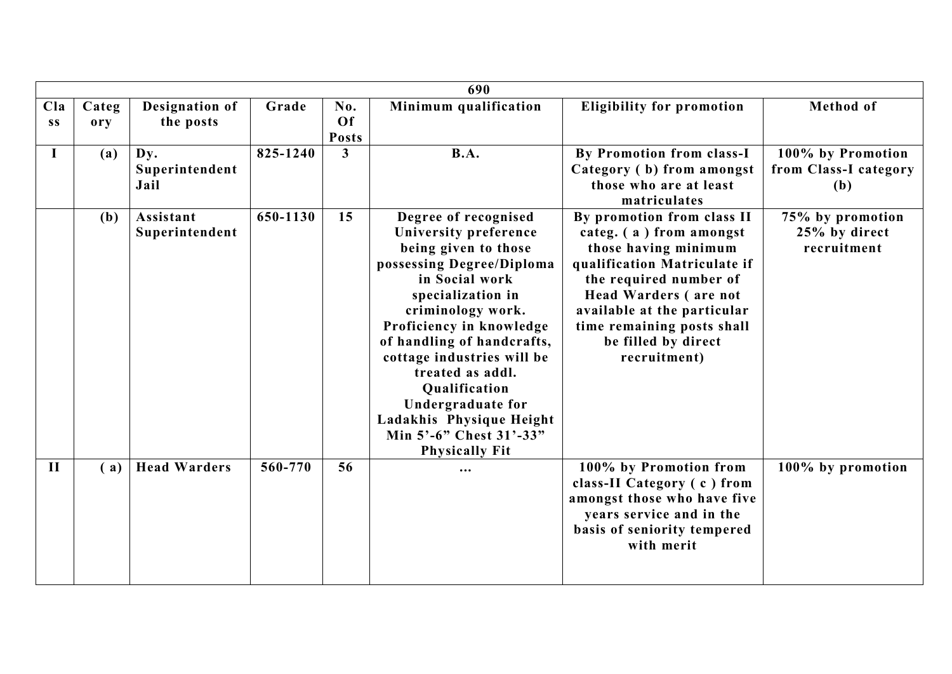|              |       |                     |          |                | 690                        |                                  |                       |
|--------------|-------|---------------------|----------|----------------|----------------------------|----------------------------------|-----------------------|
| Cla          | Categ | Designation of      | Grade    | No.            | Minimum qualification      | <b>Eligibility for promotion</b> | Method of             |
| <b>SS</b>    | ory   | the posts           |          | Of             |                            |                                  |                       |
|              |       |                     |          | <b>Posts</b>   |                            |                                  |                       |
| I            | (a)   | Dv.                 | 825-1240 | $\overline{3}$ | <b>B.A.</b>                | By Promotion from class-I        | 100% by Promotion     |
|              |       | Superintendent      |          |                |                            | Category (b) from amongst        | from Class-I category |
|              |       | Jail                |          |                |                            | those who are at least           | (b)                   |
|              |       |                     |          |                |                            | matriculates                     |                       |
|              | (b)   | Assistant           | 650-1130 | 15             | Degree of recognised       | By promotion from class II       | 75% by promotion      |
|              |       | Superintendent      |          |                | University preference      | categ. (a) from amongst          | 25% by direct         |
|              |       |                     |          |                | being given to those       | those having minimum             | recruitment           |
|              |       |                     |          |                | possessing Degree/Diploma  | qualification Matriculate if     |                       |
|              |       |                     |          |                | in Social work             | the required number of           |                       |
|              |       |                     |          |                | specialization in          | <b>Head Warders (are not</b>     |                       |
|              |       |                     |          |                | criminology work.          | available at the particular      |                       |
|              |       |                     |          |                | Proficiency in knowledge   | time remaining posts shall       |                       |
|              |       |                     |          |                | of handling of handcrafts, | be filled by direct              |                       |
|              |       |                     |          |                | cottage industries will be | recruitment)                     |                       |
|              |       |                     |          |                | treated as addl.           |                                  |                       |
|              |       |                     |          |                | Qualification              |                                  |                       |
|              |       |                     |          |                | Undergraduate for          |                                  |                       |
|              |       |                     |          |                | Ladakhis Physique Height   |                                  |                       |
|              |       |                     |          |                | Min 5'-6" Chest 31'-33"    |                                  |                       |
|              |       |                     |          |                | <b>Physically Fit</b>      |                                  |                       |
| $\mathbf{I}$ | (a)   | <b>Head Warders</b> | 560-770  | 56             | $\cdots$                   | 100% by Promotion from           | 100% by promotion     |
|              |       |                     |          |                |                            | class-II Category (c) from       |                       |
|              |       |                     |          |                |                            | amongst those who have five      |                       |
|              |       |                     |          |                |                            | years service and in the         |                       |
|              |       |                     |          |                |                            | basis of seniority tempered      |                       |
|              |       |                     |          |                |                            | with merit                       |                       |
|              |       |                     |          |                |                            |                                  |                       |
|              |       |                     |          |                |                            |                                  |                       |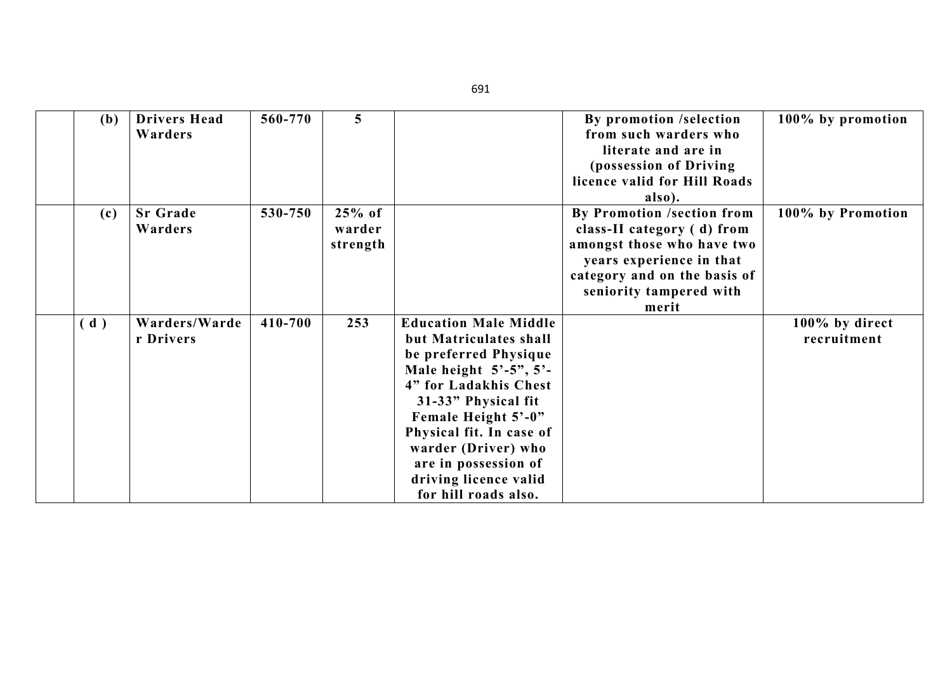| 100% by promotion |
|-------------------|
|                   |
|                   |
|                   |
|                   |
|                   |
|                   |
| 100% by Promotion |
|                   |
|                   |
|                   |
|                   |
|                   |
|                   |
| 100% by direct    |
| recruitment       |
|                   |
|                   |
|                   |
|                   |
|                   |
|                   |
|                   |
|                   |
|                   |
|                   |
|                   |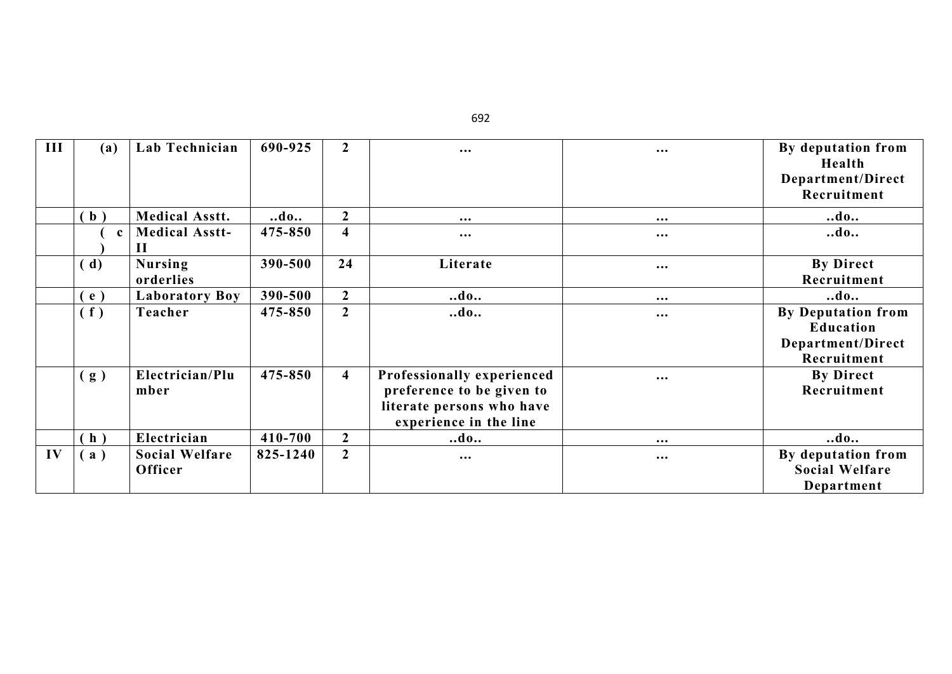| III | (a)          | Lab Technician                   | 690-925  | $\boldsymbol{2}$        | $\cdots$                                                                                                       | $\cdots$ | By deputation from<br>Health                                |
|-----|--------------|----------------------------------|----------|-------------------------|----------------------------------------------------------------------------------------------------------------|----------|-------------------------------------------------------------|
|     |              |                                  |          |                         |                                                                                                                |          | Department/Direct<br>Recruitment                            |
|     | (b)          | <b>Medical Asstt.</b>            | $$ do    | $\overline{2}$          | $\cdots$                                                                                                       | $\cdots$ | $$ do                                                       |
|     | $\mathbf{c}$ | <b>Medical Asstt-</b><br>Н       | 475-850  | $\overline{\mathbf{4}}$ | $\bullet\bullet\bullet$                                                                                        | $\cdots$ | $$ do                                                       |
|     | (d)          | <b>Nursing</b><br>orderlies      | 390-500  | 24                      | Literate                                                                                                       | $\cdots$ | <b>By Direct</b><br>Recruitment                             |
|     | (e)          | <b>Laboratory Boy</b>            | 390-500  | $\overline{2}$          | $\ldots$ do                                                                                                    | $\cdots$ | $$ do                                                       |
|     | (f)          | Teacher                          | 475-850  | $\overline{2}$          | $$ do                                                                                                          | $\cdots$ | <b>By Deputation from</b><br>Education<br>Department/Direct |
|     |              |                                  |          |                         |                                                                                                                |          | Recruitment                                                 |
|     | (g)          | Electrician/Plu<br>mber          | 475-850  | $\overline{\mathbf{4}}$ | Professionally experienced<br>preference to be given to<br>literate persons who have<br>experience in the line | $\cdots$ | <b>By Direct</b><br>Recruitment                             |
|     | (h)          | Electrician                      | 410-700  | $\mathbf{2}$            | $$ do                                                                                                          | $\cdots$ | $$ do                                                       |
| IV  | (a)          | <b>Social Welfare</b><br>Officer | 825-1240 | $\overline{2}$          | $\cdots$                                                                                                       | $\cdots$ | By deputation from<br><b>Social Welfare</b><br>Department   |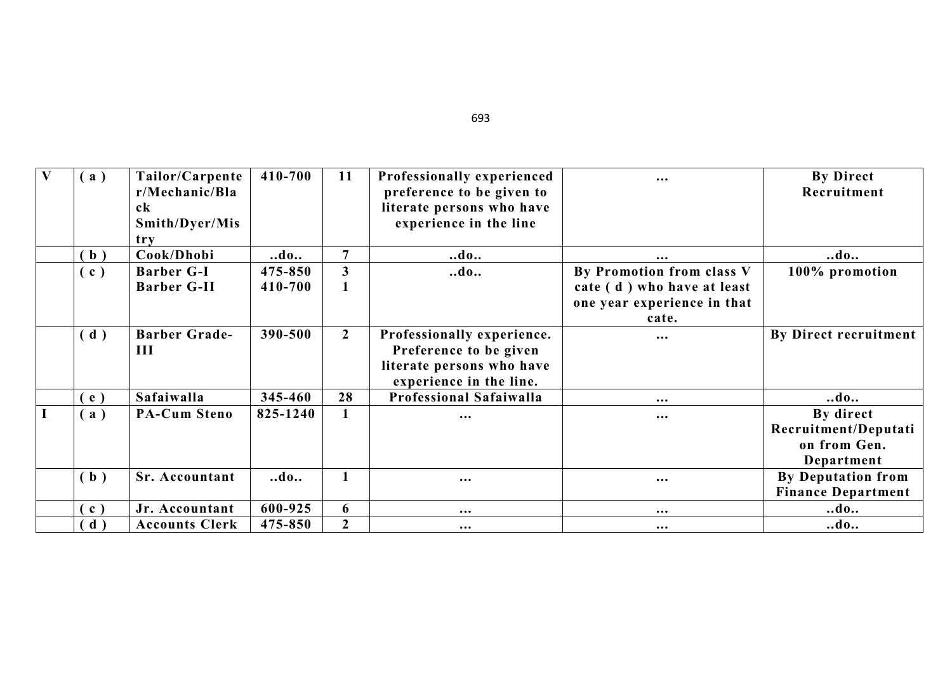| V | (a)               | Tailor/Carpente<br>r/Mechanic/Bla | 410-700  | 11             | Professionally experienced<br>preference to be given to | $\cdots$                    | <b>By Direct</b><br>Recruitment |
|---|-------------------|-----------------------------------|----------|----------------|---------------------------------------------------------|-----------------------------|---------------------------------|
|   |                   | ck                                |          |                | literate persons who have                               |                             |                                 |
|   |                   | Smith/Dyer/Mis                    |          |                | experience in the line                                  |                             |                                 |
|   |                   | try                               |          |                |                                                         |                             |                                 |
|   | (b)               | Cook/Dhobi                        | $$ do    | $\overline{7}$ | $$ do                                                   | $\bullet\bullet\bullet$     | $$ do                           |
|   | (c)               | <b>Barber G-I</b>                 | 475-850  | 3              | $\ldots$ do $\ldots$                                    | By Promotion from class V   | 100% promotion                  |
|   |                   | <b>Barber G-II</b>                | 410-700  |                |                                                         | cate (d) who have at least  |                                 |
|   |                   |                                   |          |                |                                                         | one year experience in that |                                 |
|   |                   |                                   |          |                |                                                         | cate.                       |                                 |
|   | (d)               | <b>Barber Grade-</b>              | 390-500  | $\overline{2}$ | Professionally experience.                              | $\cdots$                    | By Direct recruitment           |
|   |                   | Ш                                 |          |                | Preference to be given                                  |                             |                                 |
|   |                   |                                   |          |                | literate persons who have                               |                             |                                 |
|   |                   |                                   |          |                | experience in the line.                                 |                             |                                 |
|   | e )               | Safaiwalla                        | 345-460  | 28             | <b>Professional Safaiwalla</b>                          | $\cdots$                    | $$ do                           |
|   | a)                | <b>PA-Cum Steno</b>               | 825-1240 |                | $\cdots$                                                | $\bullet\bullet\bullet$     | By direct                       |
|   |                   |                                   |          |                |                                                         |                             | Recruitment/Deputati            |
|   |                   |                                   |          |                |                                                         |                             | on from Gen.                    |
|   |                   |                                   |          |                |                                                         |                             | Department                      |
|   | (b)               | <b>Sr. Accountant</b>             | $$ do    |                | $\cdots$                                                | $\cdots$                    | <b>By Deputation from</b>       |
|   |                   |                                   |          |                |                                                         |                             | <b>Finance Department</b>       |
|   | $\left( c\right)$ | Jr. Accountant                    | 600-925  | 6              | $\cdots$                                                | $\cdots$                    | $\ldots$ do                     |
|   | $\mathbf{d}$ )    | <b>Accounts Clerk</b>             | 475-850  | $\overline{2}$ | $\bullet\bullet\bullet$                                 | $\cdots$                    | $$ do                           |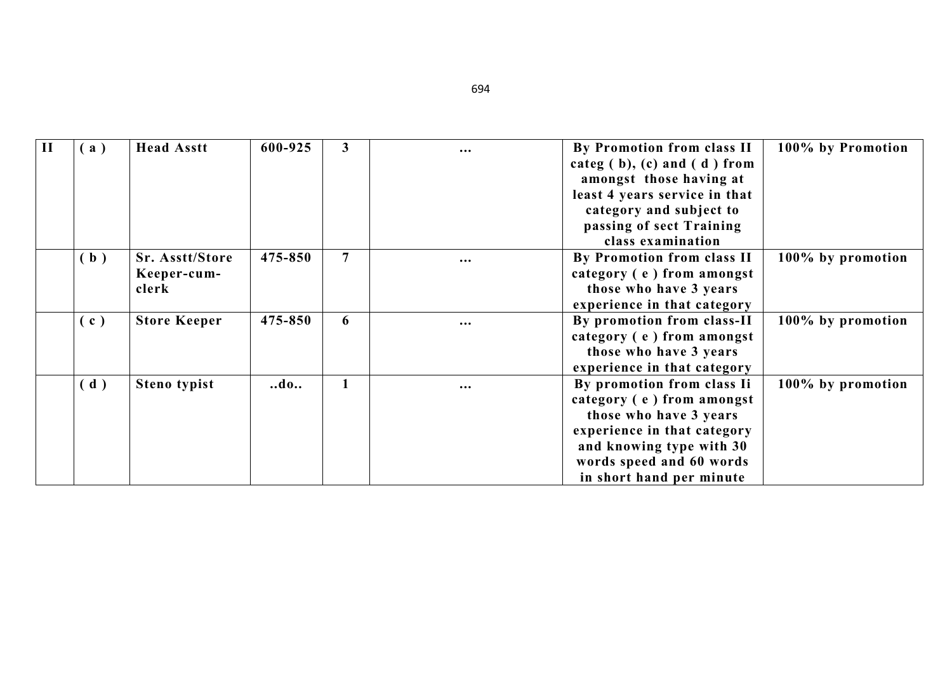| $\mathbf{I}$ | a)             | <b>Head Asstt</b>                       | 600-925 | $\mathbf{3}$   | $\bullet\bullet\bullet$ | By Promotion from class II<br>categ $(b)$ , $(c)$ and $(d)$ from<br>amongst those having at<br>least 4 years service in that<br>category and subject to<br>passing of sect Training<br>class examination | 100% by Promotion |
|--------------|----------------|-----------------------------------------|---------|----------------|-------------------------|----------------------------------------------------------------------------------------------------------------------------------------------------------------------------------------------------------|-------------------|
|              | $\mathbf{b}$ ) | Sr. Asstt/Store<br>Keeper-cum-<br>clerk | 475-850 | $\overline{7}$ | $\bullet\bullet\bullet$ | By Promotion from class II<br>category (e) from amongst<br>those who have 3 years<br>experience in that category                                                                                         | 100% by promotion |
|              | (c)            | <b>Store Keeper</b>                     | 475-850 | 6              | $\cdots$                | By promotion from class-II<br>category (e) from amongst<br>those who have 3 years<br>experience in that category                                                                                         | 100% by promotion |
|              | $\mathbf d$ )  | Steno typist                            | do      | $\mathbf{1}$   | $\cdots$                | By promotion from class Ii<br>category (e) from amongst<br>those who have 3 years<br>experience in that category<br>and knowing type with 30<br>words speed and 60 words<br>in short hand per minute     | 100% by promotion |